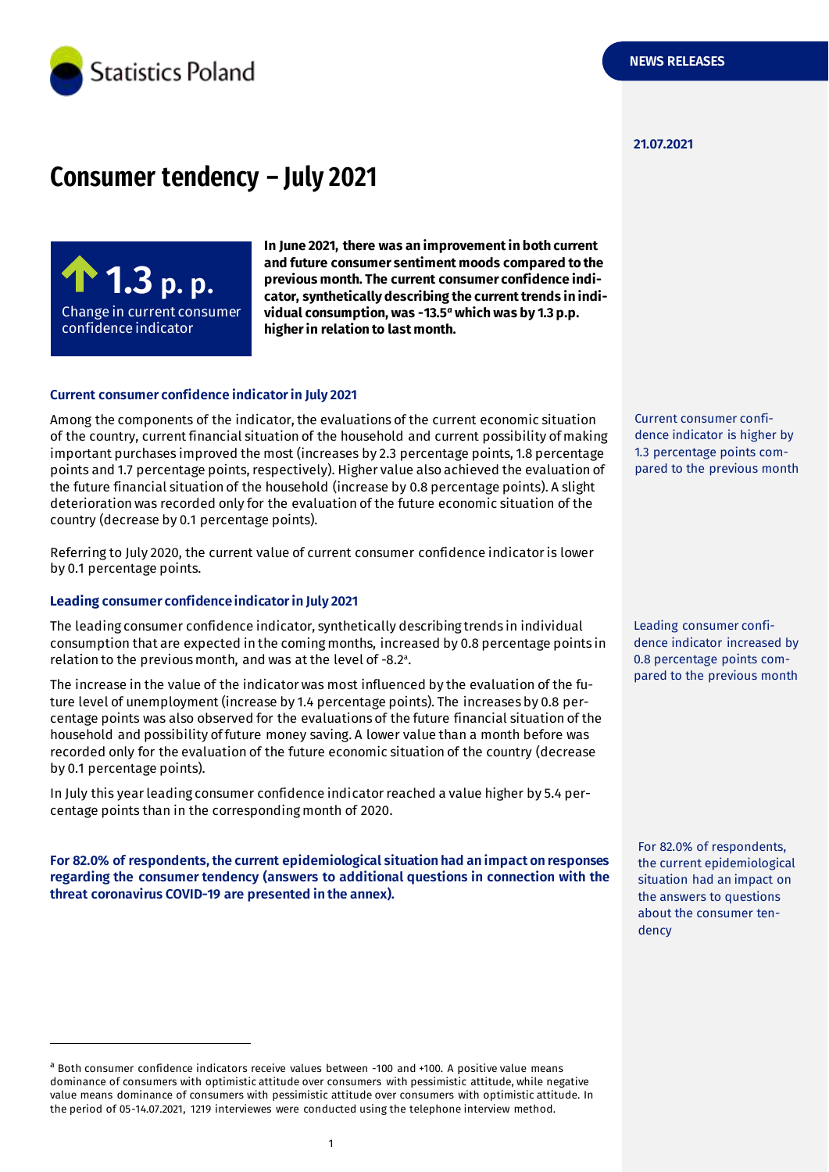

#### **21.07.2021**

# **Consumer tendency – July 2021**



**In June 2021, there was an improvementin both current and future consumer sentiment moods compared to the previous month. The current consumer confidence indicator, synthetically describing the current trends in individual consumption, was -13.5** *<sup>a</sup>* **which was by 1.3 p.p. higher in relation to last month.**

#### **Current consumer confidence indicator in July 2021**

Among the components of the indicator, the evaluations of the current economic situation of the country, current financial situation of the household and current possibility of making important purchases improved the most (increases by 2.3 percentage points, 1.8 percentage points and 1.7 percentage points, respectively). Higher value also achieved the evaluation of the future financial situation of the household (increase by 0.8 percentage points). A slight deterioration was recorded only for the evaluation of the future economic situation of the country (decrease by 0.1 percentage points).

Referring to July 2020, the current value of current consumer confidence indicator is lower by 0.1 percentage points.

#### **Leading consumer confidence indicator in July 2021**

-

The leading consumer confidence indicator, synthetically describing trends in individual consumption that are expected in the coming months, increased by 0.8 percentage points in relation to the previous month, and was at the level of -8.2 a .

The increase in the value of the indicator was most influenced by the evaluation of the future level of unemployment (increase by 1.4 percentage points). The increases by 0.8 percentage points was also observed for the evaluations of the future financial situation of the household and possibility of future money saving. A lower value than a month before was recorded only for the evaluation of the future economic situation of the country (decrease by 0.1 percentage points).

In July this year leading consumer confidence indicator reached a value higher by 5.4 percentage points than in the corresponding month of 2020.

**For 82.0% of respondents, the current epidemiological situation had an impact on responses regarding the consumer tendency (answers to additional questions in connection with the threat coronavirus COVID-19 are presented in the annex).** 

<sup>a</sup> Both consumer confidence indicators receive values between -100 and +100. A positive value means dominance of consumers with optimistic attitude over consumers with pessimistic attitude, while negative value means dominance of consumers with pessimistic attitude over consumers with optimistic attitude. In the period of 05-14.07.2021, 1219 interviewes were conducted using the telephone interview method.

Current consumer confidence indicator is higher by 1.3 percentage points compared to the previous month

Leading consumer confidence indicator increased by 0.8 percentage points compared to the previous month

For 82.0% of respondents, the current epidemiological situation had an impact on the answers to questions about the consumer tendency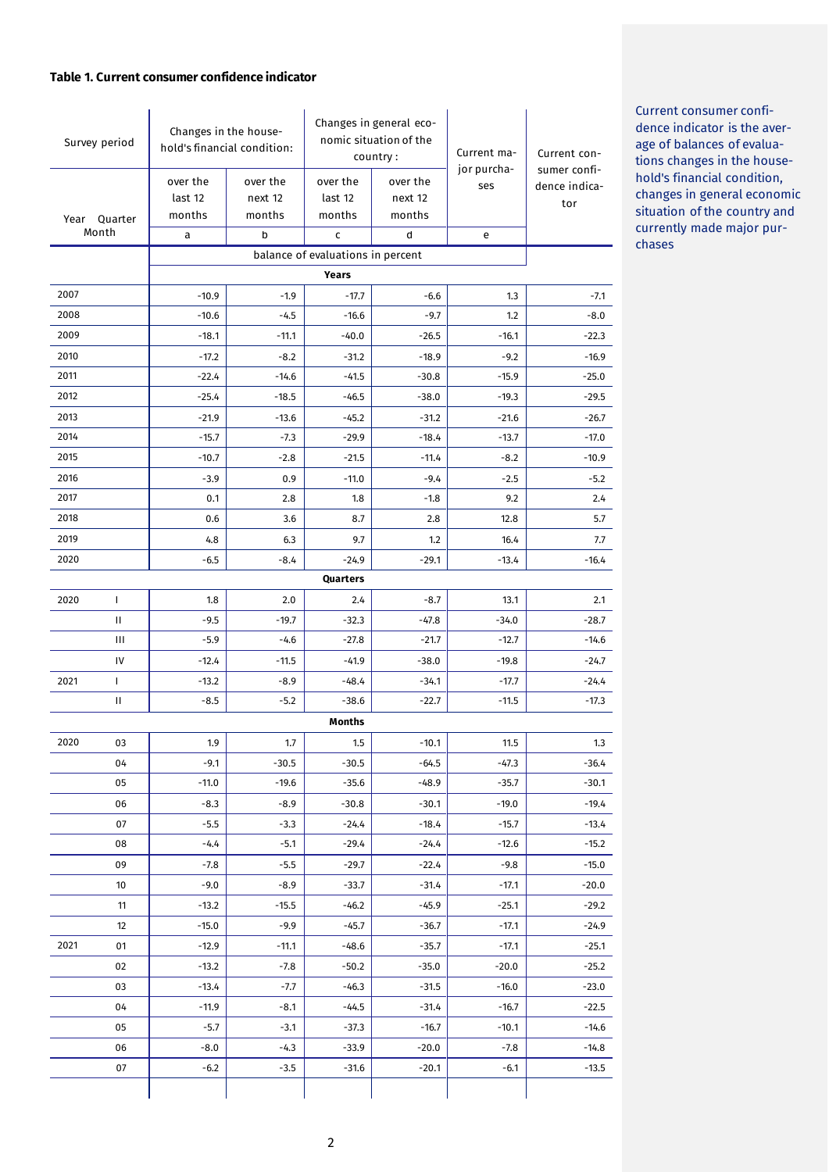#### **Table 1. Current consumer confidence indicator**

| Survey period |                                            | Changes in the house-<br>hold's financial condition: |                   | Changes in general eco-<br>nomic situation of the<br>country: |                  | Current ma-        | Current con-                  |  |  |
|---------------|--------------------------------------------|------------------------------------------------------|-------------------|---------------------------------------------------------------|------------------|--------------------|-------------------------------|--|--|
|               |                                            | over the                                             | over the          | over the                                                      | over the         | jor purcha-<br>ses | sumer confi-<br>dence indica- |  |  |
|               |                                            | last 12                                              | next 12           | last 12                                                       | next 12          |                    | tor                           |  |  |
|               | Year Quarter<br>Month                      | months                                               | months            | months                                                        | months           |                    |                               |  |  |
|               |                                            | a                                                    | b                 | C                                                             | d                | e                  |                               |  |  |
|               | balance of evaluations in percent<br>Years |                                                      |                   |                                                               |                  |                    |                               |  |  |
| 2007          |                                            | $-10.9$                                              | $-1.9$            | $-17.7$                                                       | $-6.6$           | 1.3                | $-7.1$                        |  |  |
| 2008          |                                            | $-10.6$                                              | $-4.5$            | $-16.6$                                                       | $-9.7$           | 1.2                | $-8.0$                        |  |  |
| 2009          |                                            | $-18.1$                                              | $-11.1$           | $-40.0$                                                       | $-26.5$          | $-16.1$            | $-22.3$                       |  |  |
| 2010          |                                            | $-17.2$                                              | $-8.2$            | $-31.2$                                                       | $-18.9$          | $-9.2$             | $-16.9$                       |  |  |
| 2011          |                                            | $-22.4$                                              | $-14.6$           | $-41.5$                                                       | $-30.8$          | $-15.9$            | $-25.0$                       |  |  |
| 2012          |                                            | $-25.4$                                              | $-18.5$           | $-46.5$                                                       | $-38.0$          | $-19.3$            | $-29.5$                       |  |  |
| 2013          |                                            | $-21.9$                                              | $-13.6$           | $-45.2$                                                       | $-31.2$          | $-21.6$            | $-26.7$                       |  |  |
| 2014          |                                            | $-15.7$                                              | $-7.3$            | $-29.9$                                                       | $-18.4$          | $-13.7$            | $-17.0$                       |  |  |
| 2015          |                                            | $-10.7$                                              | $-2.8$            | $-21.5$                                                       | $-11.4$          | $-8.2$             | $-10.9$                       |  |  |
| 2016          |                                            | $-3.9$                                               | 0.9               | $-11.0$                                                       | $-9.4$           | $-2.5$             | $-5.2$                        |  |  |
| 2017          |                                            | 0.1                                                  | 2.8               | 1.8                                                           | $-1.8$           | 9.2                | 2.4                           |  |  |
| 2018          |                                            | 0.6                                                  | 3.6               | 8.7                                                           | 2.8              | 12.8               | 5.7                           |  |  |
| 2019          |                                            | 4.8                                                  | 6.3               | 9.7                                                           | 1.2              | 16.4               | 7.7                           |  |  |
| 2020          |                                            | $-6.5$                                               | $-8.4$            | $-24.9$                                                       | $-29.1$          | $-13.4$            | $-16.4$                       |  |  |
|               |                                            |                                                      |                   | Quarters                                                      |                  |                    |                               |  |  |
| 2020          | T                                          | 1.8                                                  | 2.0               | 2.4                                                           | $-8.7$           | 13.1               | 2.1                           |  |  |
|               | Ш                                          | $-9.5$                                               | $-19.7$           | $-32.3$                                                       | $-47.8$          | $-34.0$            | $-28.7$                       |  |  |
|               | Ш                                          | $-5.9$                                               | $-4.6$            | $-27.8$                                                       | $-21.7$          | $-12.7$            | $-14.6$                       |  |  |
|               | IV                                         | $-12.4$                                              | $-11.5$           | $-41.9$                                                       | $-38.0$          | $-19.8$            | $-24.7$                       |  |  |
| 2021          | L                                          | $-13.2$                                              | $-8.9$            | $-48.4$                                                       | $-34.1$          | $-17.7$            | $-24.4$                       |  |  |
|               | Ш                                          | $-8.5$                                               | $-5.2$            | $-38.6$                                                       | $-22.7$          | $-11.5$            | $-17.3$                       |  |  |
|               |                                            |                                                      |                   | Months                                                        |                  |                    |                               |  |  |
| 2020          | 03                                         | 1.9                                                  | 1.7               | 1.5                                                           | $-10.1$          | 11.5               | 1.3                           |  |  |
|               | 04                                         | $-9.1$                                               | $-30.5$           | $-30.5$                                                       | $-64.5$          | $-47.3$            | $-36.4$                       |  |  |
|               | 05                                         | $-11.0$                                              | $-19.6$           | $-35.6$                                                       | -48.9            | $-35.7$            | $-30.1$                       |  |  |
|               | 06                                         | $-8.3$                                               | $-8.9$            | $-30.8$                                                       | $-30.1$          | $-19.0$            | $-19.4$                       |  |  |
|               | 07                                         | -5.5                                                 | $-3.3$            | $-24.4$                                                       | $-18.4$          | $-15.7$            | $-13.4$                       |  |  |
|               | 08                                         | -4.4                                                 | -5.1              | $-29.4$                                                       | $-24.4$          | $-12.6$            | $-15.2$                       |  |  |
|               | 09                                         | $-7.8$                                               | $-5.5$            | $-29.7$                                                       | $-22.4$          | $-9.8$             | $-15.0$                       |  |  |
|               | 10                                         | $-9.0$                                               | $-8.9$            | $-33.7$                                                       | $-31.4$          | $-17.1$            | $-20.0$                       |  |  |
|               | 11                                         | $-13.2$                                              | $-15.5$           | $-46.2$                                                       | $-45.9$          | $-25.1$            | $-29.2$                       |  |  |
| 2021          | 12                                         | $-15.0$<br>$-12.9$                                   | $-9.9$            | $-45.7$                                                       | $-36.7$          | $-17.1$            | $-24.9$<br>$-25.1$            |  |  |
|               | 01<br>02                                   | $-13.2$                                              | $-11.1$<br>$-7.8$ | $-48.6$<br>$-50.2$                                            | $-35.7$<br>-35.0 | $-17.1$<br>$-20.0$ | $-25.2$                       |  |  |
|               | 03                                         | $-13.4$                                              | $-7.7$            | $-46.3$                                                       | $-31.5$          | $-16.0$            | $-23.0$                       |  |  |
|               | 04                                         | $-11.9$                                              | $-8.1$            | $-44.5$                                                       | $-31.4$          | $-16.7$            | $-22.5$                       |  |  |
|               | 05                                         | $-5.7$                                               | $-3.1$            | $-37.3$                                                       | $-16.7$          | $-10.1$            | $-14.6$                       |  |  |
|               | 06                                         | $-8.0$                                               | $-4.3$            | $-33.9$                                                       | $-20.0$          | $-7.8$             | $-14.8$                       |  |  |
|               | 07                                         | $-6.2$                                               | $-3.5$            | $-31.6$                                                       | $-20.1$          | -6.1               | $-13.5$                       |  |  |
|               |                                            |                                                      |                   |                                                               |                  |                    |                               |  |  |

Current consumer confidence indicator is the average of balances of evaluations changes in the household's financial condition, changes in general economic situation of the country and currently made major purchases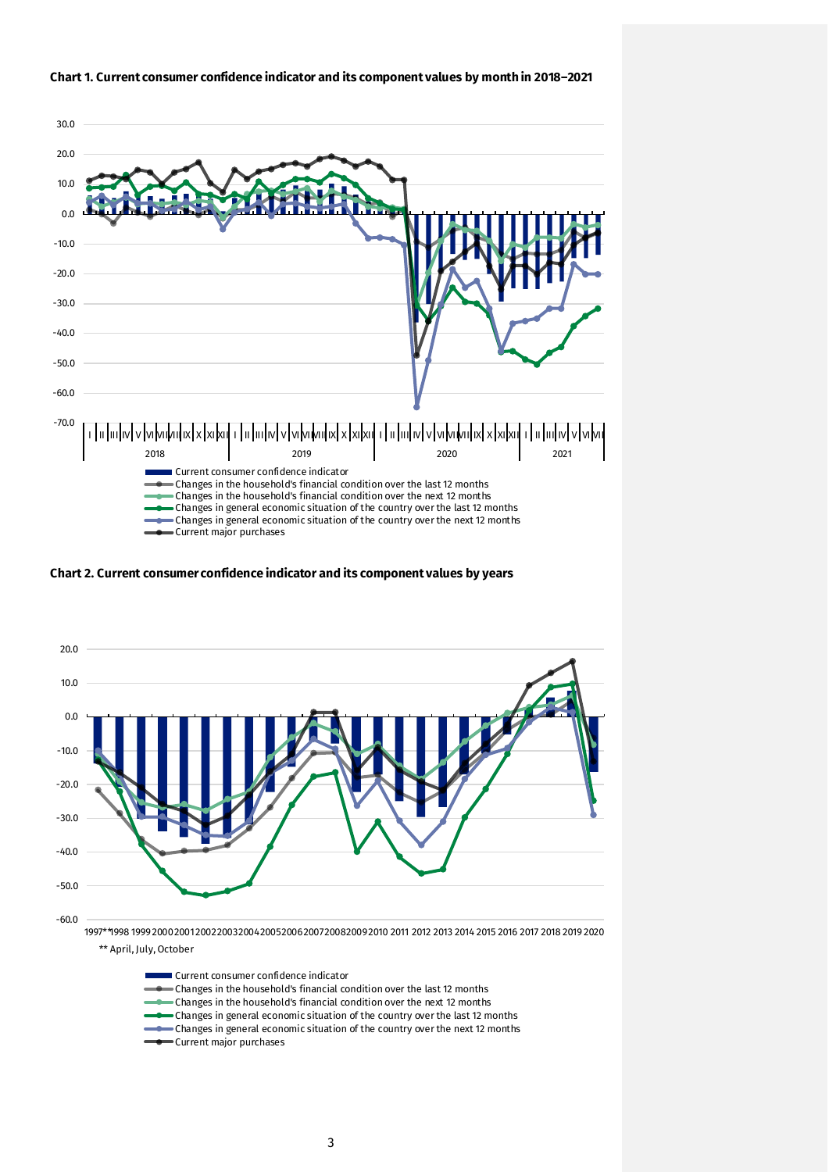

#### **Chart 1. Current consumer confidence indicator and its component values by month in 2018–2021**

**Chart 2. Current consumer confidence indicator and its component values by years**



Current consumer confidence indicator

Changes in the household's financial condition over the last 12 months

- Changes in the household's financial condition over the next 12 months
- Changes in general economic situation of the country over the last 12 months
- Changes in general economic situation of the country over the next 12 months
- Current major purchases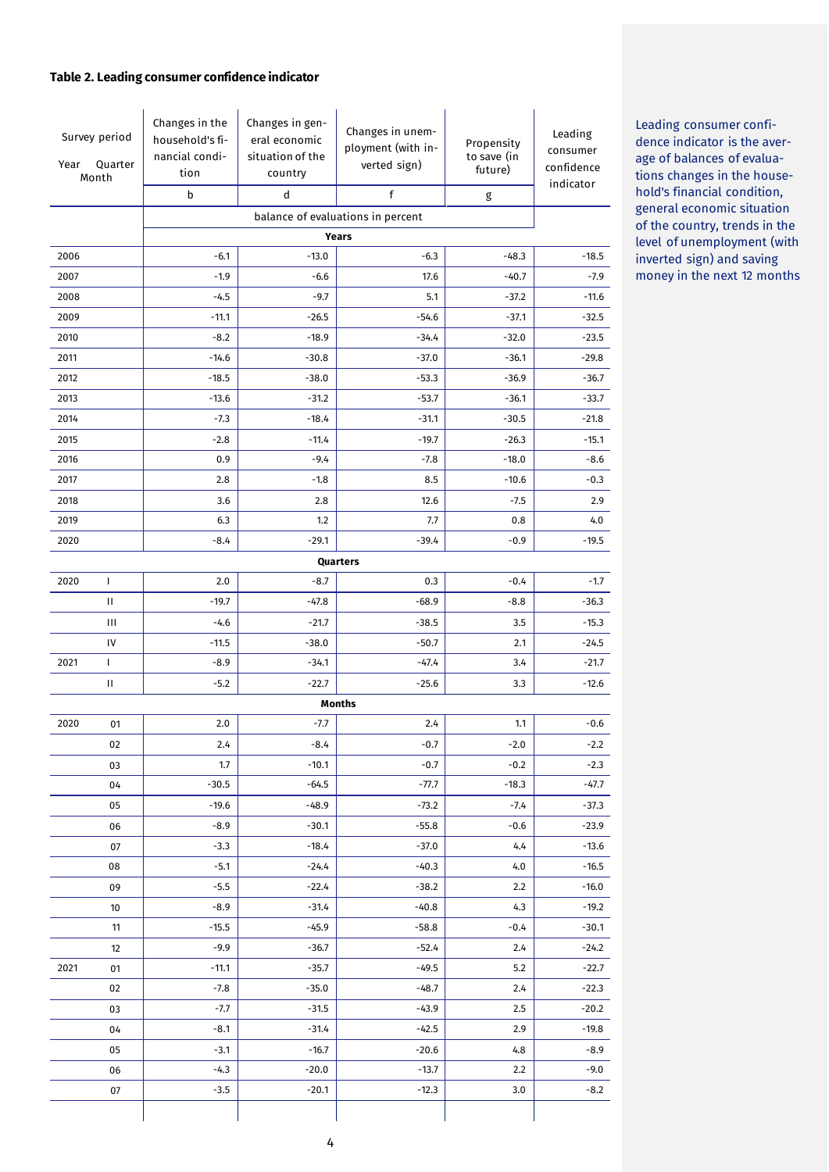#### **Table 2. Leading consumer confidence indicator**

| Survey period<br>Quarter<br>Year<br>Month |    | Changes in the<br>household's fi-<br>nancial condi-<br>tion<br>b | Changes in gen-<br>eral economic<br>situation of the<br>country<br>d | Changes in unem-<br>ployment (with in-<br>verted sign)<br>f | Propensity<br>to save (in<br>future)<br>g | Leading<br>consumer<br>confidence<br>indicator |
|-------------------------------------------|----|------------------------------------------------------------------|----------------------------------------------------------------------|-------------------------------------------------------------|-------------------------------------------|------------------------------------------------|
|                                           |    |                                                                  |                                                                      |                                                             |                                           |                                                |
|                                           |    |                                                                  |                                                                      | balance of evaluations in percent<br>Years                  |                                           |                                                |
| 2006                                      |    | $-6.1$                                                           | $-13.0$                                                              | $-6.3$                                                      | $-48.3$                                   | $-18.5$                                        |
| 2007                                      |    | $-1.9$                                                           | $-6.6$                                                               | 17.6                                                        | $-40.7$                                   | $-7.9$                                         |
| 2008                                      |    | $-4.5$                                                           | $-9.7$                                                               | 5.1                                                         | $-37.2$                                   | $-11.6$                                        |
| 2009                                      |    | $-11.1$                                                          | $-26.5$                                                              | $-54.6$                                                     | $-37.1$                                   | $-32.5$                                        |
| 2010                                      |    | $-8.2$                                                           | $-18.9$                                                              | $-34.4$                                                     | $-32.0$                                   | $-23.5$                                        |
| 2011                                      |    | $-14.6$                                                          | $-30.8$                                                              | $-37.0$                                                     | $-36.1$                                   | $-29.8$                                        |
| 2012                                      |    | $-18.5$                                                          | $-38.0$                                                              | $-53.3$                                                     | $-36.9$                                   | $-36.7$                                        |
| 2013                                      |    | $-13.6$                                                          | $-31.2$                                                              | $-53.7$                                                     | $-36.1$                                   | $-33.7$                                        |
| 2014                                      |    | $-7.3$                                                           | $-18.4$                                                              | $-31.1$                                                     | $-30.5$                                   | $-21.8$                                        |
| 2015                                      |    | $-2.8$                                                           | $-11.4$                                                              | $-19.7$                                                     | $-26.3$                                   | $-15.1$                                        |
| 2016                                      |    | 0.9                                                              | $-9.4$                                                               | $-7.8$                                                      | $-18.0$                                   | $-8.6$                                         |
| 2017                                      |    | 2.8                                                              | $-1.8$                                                               | 8.5                                                         | $-10.6$                                   | $-0.3$                                         |
| 2018                                      |    | 3.6                                                              | 2.8                                                                  | 12.6                                                        | $-7.5$                                    | 2.9                                            |
| 2019                                      |    | 6.3                                                              | 1.2                                                                  | 7.7                                                         | 0.8                                       | 4.0                                            |
| 2020                                      |    | $-8.4$                                                           | $-29.1$                                                              | $-39.4$                                                     | $-0.9$                                    | $-19.5$                                        |
|                                           |    |                                                                  |                                                                      | Quarters                                                    |                                           |                                                |
| 2020                                      | L  | 2.0                                                              | $-8.7$                                                               | 0.3                                                         | $-0.4$                                    | $-1.7$                                         |
|                                           | Ш  | $-19.7$                                                          | $-47.8$                                                              | $-68.9$                                                     | $-8.8$                                    | $-36.3$                                        |
|                                           | Ш  | $-4.6$                                                           | $-21.7$                                                              | $-38.5$                                                     | 3.5                                       | $-15.3$                                        |
|                                           | IV | $-11.5$                                                          | $-38.0$                                                              | $-50.7$                                                     | 2.1                                       | $-24.5$                                        |
| 2021                                      | L  | $-8.9$                                                           | $-34.1$                                                              | $-47.4$                                                     | 3.4                                       | $-21.7$                                        |
|                                           | Ш  | $-5.2$                                                           | $-22.7$                                                              | $-25.6$                                                     | 3.3                                       | $-12.6$                                        |
|                                           |    |                                                                  |                                                                      | <b>Months</b>                                               |                                           |                                                |
| 2020                                      | 01 | 2.0                                                              | $-7.7$                                                               | 2.4                                                         | 1.1                                       | $-0.6$                                         |
|                                           | 02 | 2.4                                                              | $-8.4$                                                               | $-0.7$                                                      | $-2.0$                                    | $-2.2$                                         |
|                                           | 03 | 1.7                                                              | $-10.1$                                                              | $-0.7$                                                      | $-0.2$                                    | $-2.3$                                         |
|                                           | 04 | $-30.5$                                                          | $-64.5$                                                              | $-77.7$                                                     | $-18.3$                                   | $-47.7$                                        |
|                                           | 05 | $-19.6$                                                          | $-48.9$                                                              | $-73.2$                                                     | $-7.4$                                    | $-37.3$                                        |
|                                           | 06 | $-8.9$                                                           | $-30.1$                                                              | $-55.8$                                                     | $-0.6$                                    | $-23.9$                                        |
|                                           | 07 | $-3.3$                                                           | $-18.4$                                                              | $-37.0$                                                     | 4,4                                       | $-13.6$                                        |
|                                           | 08 | $-5.1$                                                           | $-24.4$                                                              | $-40.3$                                                     | 4.0                                       | $-16.5$                                        |
|                                           | 09 | $-5.5$                                                           | $-22.4$                                                              | $-38.2$                                                     | 2.2                                       | $-16.0$                                        |
|                                           | 10 | $-8.9$                                                           | $-31.4$                                                              | $-40.8$                                                     | 4.3                                       | $-19.2$                                        |
|                                           | 11 | $-15.5$                                                          | $-45.9$                                                              | $-58.8$                                                     | $-0.4$                                    | $-30.1$                                        |
|                                           | 12 | $-9.9$                                                           | $-36.7$                                                              | $-52.4$                                                     | 2.4                                       | $-24.2$                                        |
| 2021                                      | 01 | $-11.1$                                                          | $-35.7$                                                              | $-49.5$                                                     | 5.2                                       | $-22.7$                                        |
|                                           | 02 | $-7.8$                                                           | $-35.0$                                                              | $-48.7$                                                     | 2.4                                       | $-22.3$                                        |
|                                           | 03 | $-7.7$                                                           | $-31.5$                                                              | $-43.9$                                                     | 2.5                                       | $-20.2$                                        |
|                                           | 04 | $-8.1$                                                           | $-31.4$                                                              | $-42.5$                                                     | 2.9                                       | $-19.8$                                        |
|                                           | 05 | $-3.1$                                                           | $-16.7$                                                              | $-20.6$                                                     | 4.8                                       | $-8.9$                                         |
|                                           | 06 | $-4.3$                                                           | $-20.0$                                                              | $-13.7$                                                     | 2.2                                       | $-9.0$                                         |
|                                           | 07 | $-3.5$                                                           | $-20.1$                                                              | $-12.3$                                                     | 3.0                                       | $-8.2$                                         |

Leading consumer confidence indicator is the average of balances of evaluations changes in the household's financial condition, general economic situation of the country, trends in the level of unemployment (with inverted sign) and saving money in the next 12 months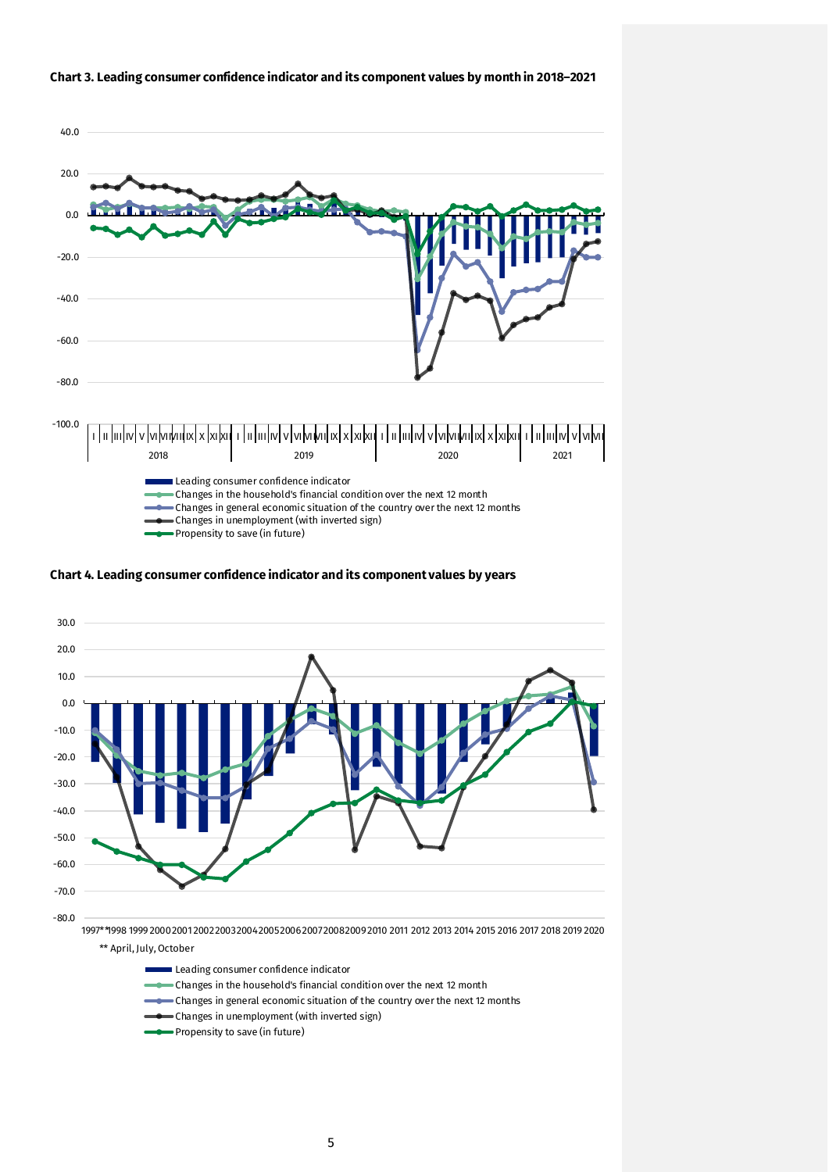

#### **Chart 3. Leading consumer confidence indicator and its component values by month in 2018–2021**

**Chart 4. Leading consumer confidence indicator and its component values by years**



Leading consumer confidence indicator

- Changes in the household's financial condition over the next 12 month
- Changes in general economic situation of the country over the next 12 months
- Changes in unemployment (with inverted sign)
- Propensity to save (in future)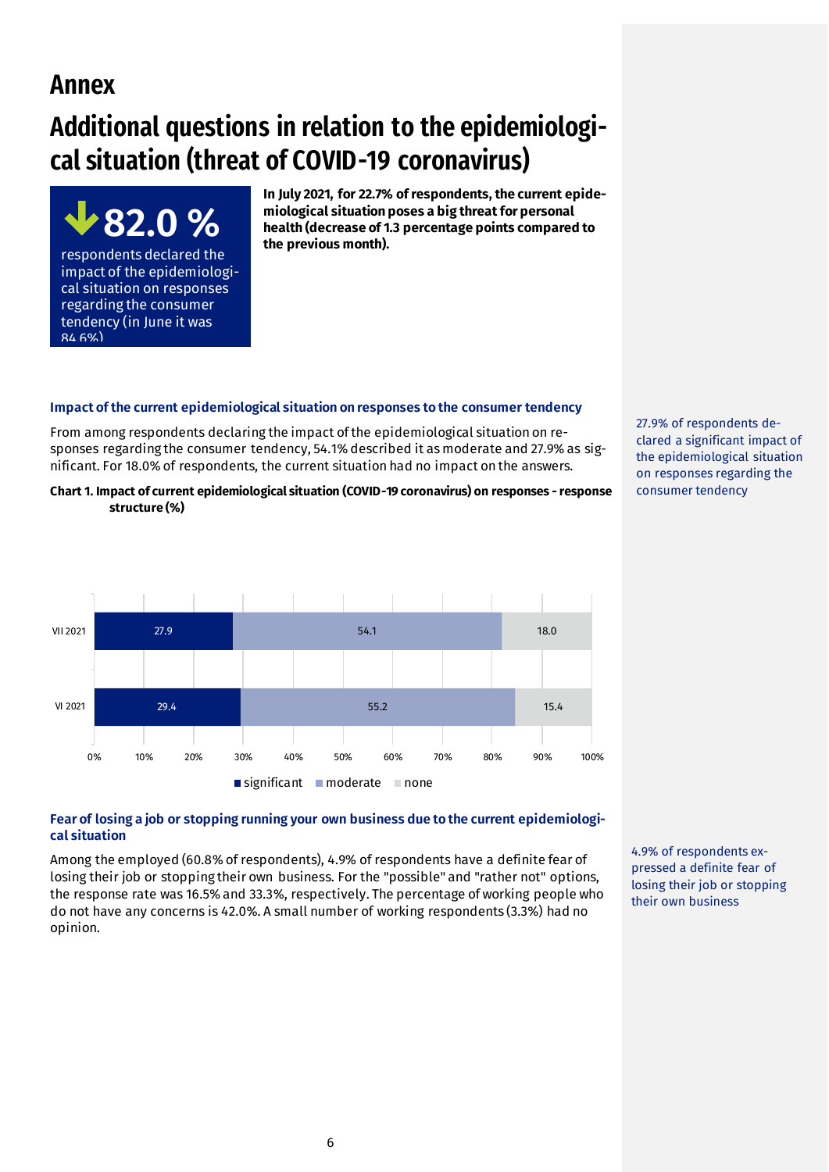# **Annex**

84.6%)

**82.0 %**

respondents declared the impact of the epidemiological situation on responses regarding the consumer tendency (in June it was

# **Additional questions in relation to the epidemiological situation (threat of COVID-19 coronavirus)**

**In July 2021, for 22.7% of respondents, the current epidemiological situation poses a big threat for personal health (decrease of 1.3 percentage points compared to the previous month).** 

## **Impact of the current epidemiological situation on responses to the consumer tendency**

From among respondents declaring the impact of the epidemiological situation on responses regarding the consumer tendency, 54.1% described it as moderate and 27.9% as significant. For 18.0% of respondents, the current situation had no impact on the answers.

**Chart 1. Impact of current epidemiological situation (COVID-19 coronavirus) on responses - response structure (%)**



#### **Fear of losing a job or stopping running your own business due to the current epidemiological situation**

Among the employed (60.8% of respondents), 4.9% of respondents have a definite fear of losing their job or stopping their own business. For the "possible" and "rather not" options, the response rate was 16.5% and 33.3%, respectively. The percentage of working people who do not have any concerns is 42.0%. A small number of working respondents (3.3%) had no opinion.

4.9% of respondents expressed a definite fear of losing their job or stopping their own business

27.9% of respondents declared a significant impact of the epidemiological situation on responses regarding the consumer tendency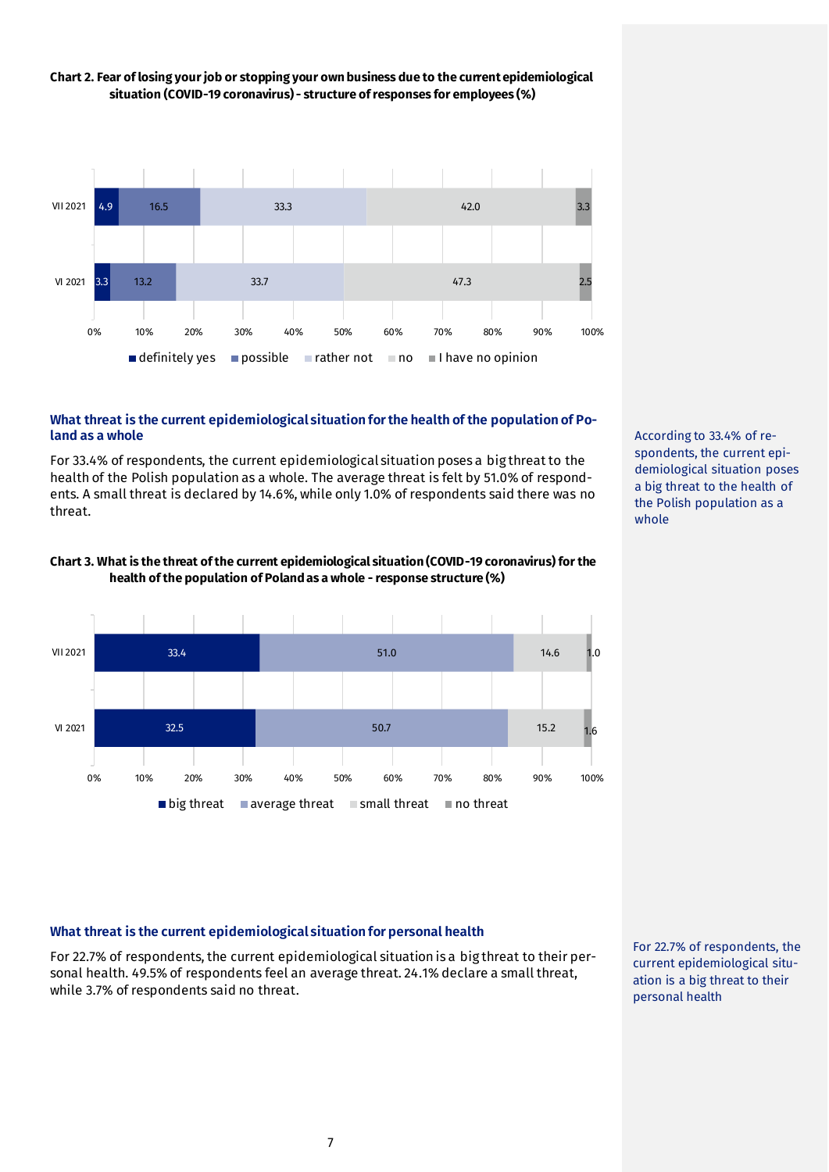

# **Chart 2. Fear of losing your job or stopping your own business due to the current epidemiological situation (COVID-19 coronavirus) - structure of responses for employees (%)**

#### **What threat is the current epidemiological situation for the health of the population of Poland as a whole**

For 33.4% of respondents, the current epidemiological situation poses a big threat to the health of the Polish population as a whole. The average threat is felt by 51.0% of respondents. A small threat is declared by 14.6%, while only 1.0% of respondents said there was no threat.



**Chart 3. What is the threat of the current epidemiological situation (COVID-19 coronavirus) for the health of the population of Poland as a whole - response structure (%)**

According to 33.4% of respondents, the current epidemiological situation poses a big threat to the health of the Polish population as a whole

## **What threat is the current epidemiological situation for personal health**

For 22.7% of respondents, the current epidemiological situation is a big threat to their personal health. 49.5% of respondents feel an average threat. 24.1% declare a small threat, while 3.7% of respondents said no threat.

For 22.7% of respondents, the current epidemiological situation is a big threat to their personal health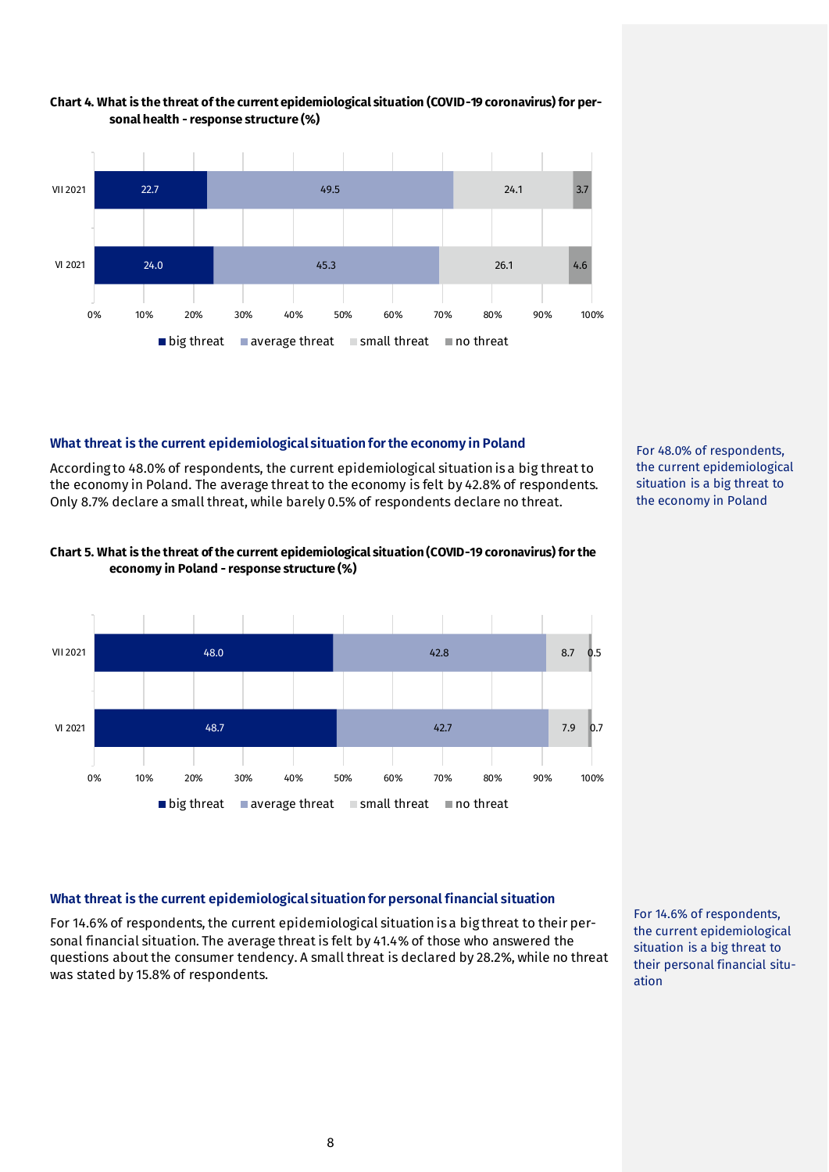

#### **Chart 4. What is the threat of the current epidemiological situation (COVID-19 coronavirus) for personal health - response structure (%)**

# **What threat is the current epidemiological situation for the economy in Poland**

According to 48.0% of respondents, the current epidemiological situation is a big threat to the economy in Poland. The average threat to the economy is felt by 42.8% of respondents. Only 8.7% declare a small threat, while barely 0.5% of respondents declare no threat.

![](_page_7_Figure_4.jpeg)

#### **Chart 5. What is the threat of the current epidemiological situation (COVID-19 coronavirus) for the economy in Poland - response structure (%)**

![](_page_7_Figure_6.jpeg)

## **What threat is the current epidemiological situation for personal financial situation**

For 14.6% of respondents, the current epidemiological situation is a big threat to their personal financial situation. The average threat is felt by 41.4% of those who answered the questions about the consumer tendency. A small threat is declared by 28.2%, while no threat was stated by 15.8% of respondents.

For 14.6% of respondents, the current epidemiological situation is a big threat to their personal financial situation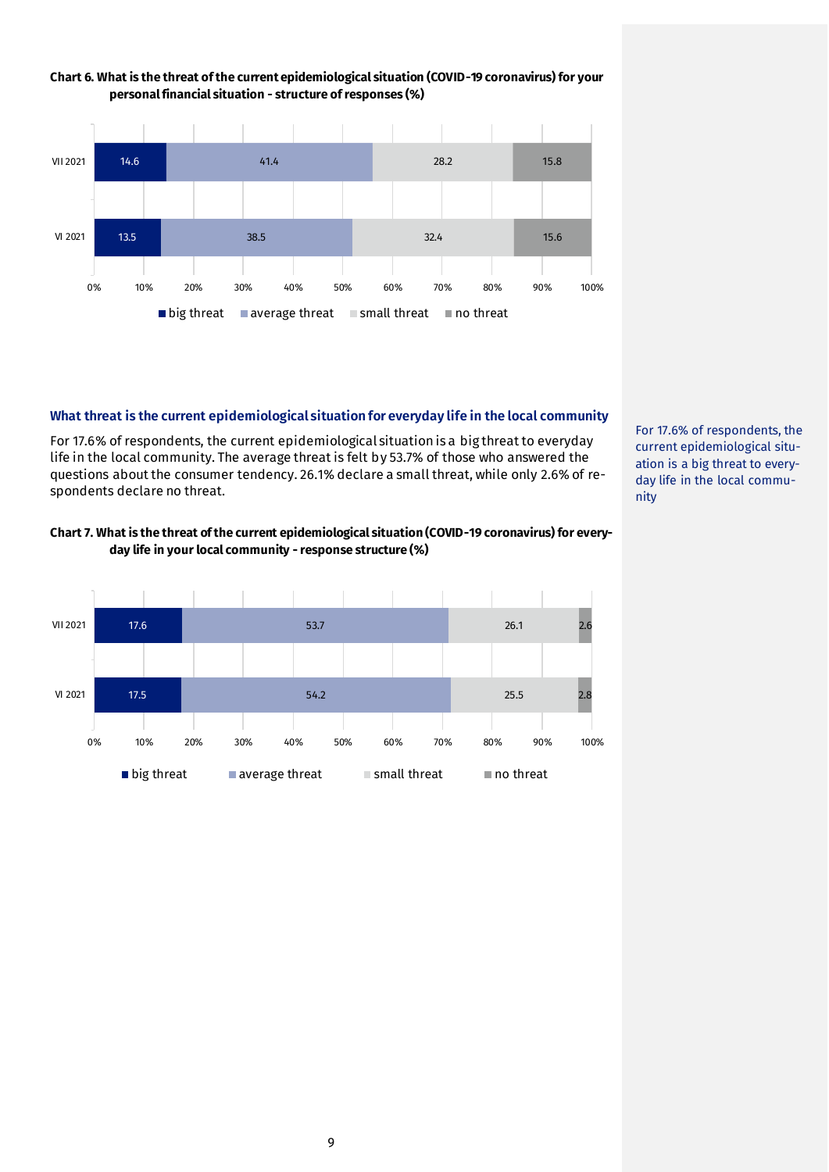![](_page_8_Figure_0.jpeg)

# **Chart 6. What is the threat of the current epidemiological situation (COVID-19 coronavirus) for your**

## **What threat is the current epidemiological situation for everyday life in the local community**

For 17.6% of respondents, the current epidemiological situation is a big threat to everyday life in the local community. The average threat is felt by 53.7% of those who answered the questions about the consumer tendency. 26.1% declare a small threat, while only 2.6% of respondents declare no threat.

**Chart 7. What is the threat of the current epidemiological situation (COVID-19 coronavirus) for everyday life in your local community - response structure (%)**

![](_page_8_Figure_5.jpeg)

For 17.6% of respondents, the current epidemiological situation is a big threat to everyday life in the local community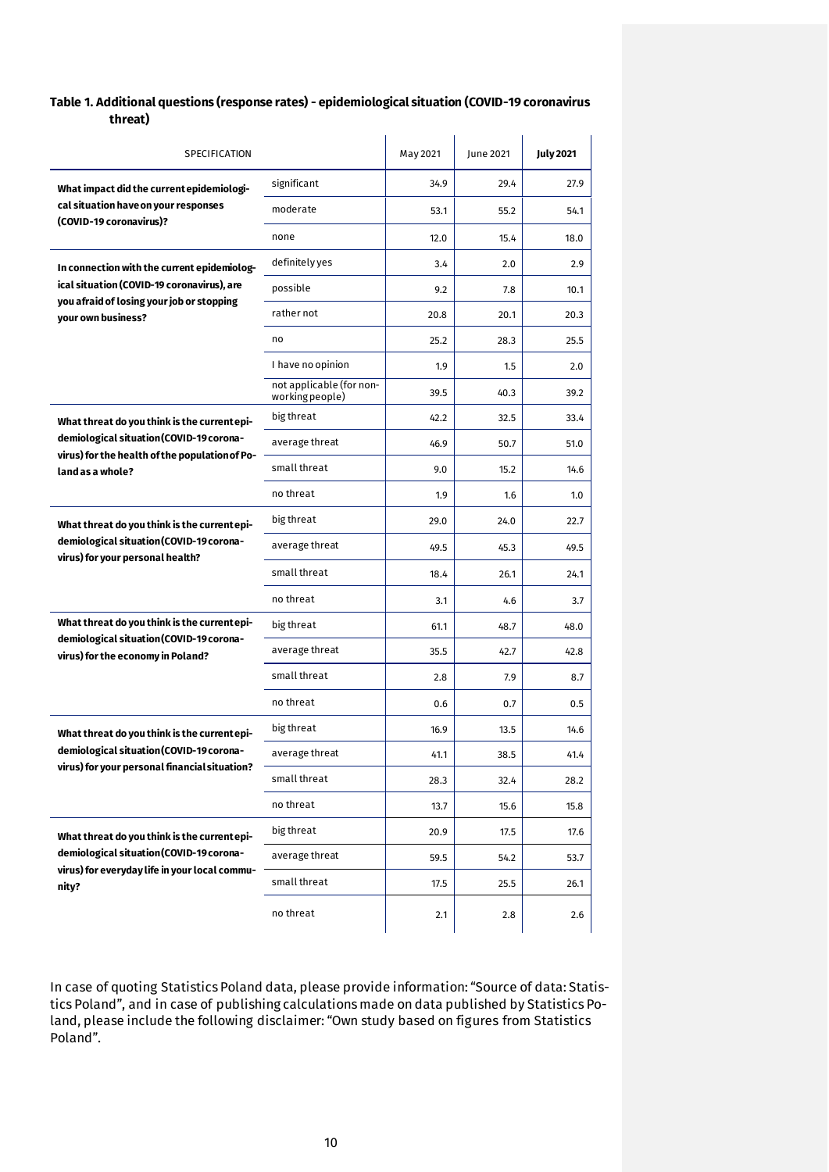#### **Table 1. Additional questions (response rates) - epidemiological situation (COVID-19 coronavirus threat)**

| SPECIFICATION                                                                 |                                             | May 2021 | June 2021 | <b>July 2021</b> |
|-------------------------------------------------------------------------------|---------------------------------------------|----------|-----------|------------------|
| What impact did the current epidemiologi-                                     | significant                                 | 34.9     | 29.4      | 27.9             |
| cal situation have on your responses<br>(COVID-19 coronavirus)?               | moderate                                    | 53.1     | 55.2      | 54.1             |
|                                                                               | none                                        | 12.0     | 15.4      | 18.0             |
| In connection with the current epidemiolog-                                   | definitely yes                              | 3.4      | 2.0       | 2.9              |
| ical situation (COVID-19 coronavirus), are                                    | possible                                    | 9.2      | 7.8       | 10.1             |
| you afraid of losing your job or stopping<br>vour own business?               | rather not                                  | 20.8     | 20.1      | 20.3             |
|                                                                               | no                                          | 25.2     | 28.3      | 25.5             |
|                                                                               | I have no opinion                           | 1.9      | 1.5       | 2.0              |
|                                                                               | not applicable (for non-<br>working people) | 39.5     | 40.3      | 39.2             |
| What threat do you think is the current epi-                                  | big threat                                  | 42.2     | 32.5      | 33.4             |
| demiological situation (COVID-19 corona-                                      | average threat                              | 46.9     | 50.7      | 51.0             |
| virus) for the health of the population of Po-<br>land as a whole?            | small threat                                | 9.0      | 15.2      | 14.6             |
|                                                                               | no threat                                   | 1.9      | 1.6       | 1.0              |
| What threat do you think is the current epi-                                  | big threat                                  | 29.0     | 24.0      | 22.7             |
| demiological situation (COVID-19 corona-<br>virus) for your personal health?  | average threat                              | 49.5     | 45.3      | 49.5             |
|                                                                               | small threat                                | 18.4     | 26.1      | 24.1             |
|                                                                               | no threat                                   | 3.1      | 4.6       | 3.7              |
| What threat do you think is the current epi-                                  | big threat                                  | 61.1     | 48.7      | 48.0             |
| demiological situation (COVID-19 corona-<br>virus) for the economy in Poland? | average threat                              | 35.5     | 42.7      | 42.8             |
|                                                                               | small threat                                | 2.8      | 7.9       | 8.7              |
|                                                                               | no threat                                   | 0.6      | 0.7       | 0.5              |
| What threat do you think is the current epi-                                  | big threat                                  | 16.9     | 13.5      | 14.6             |
| demiological situation (COVID-19 corona-                                      | average threat                              | 41.1     | 38.5      | 41.4             |
| virus) for your personal financial situation?                                 | small threat                                | 28.3     | 32.4      | 28.2             |
|                                                                               | no threat                                   | 13.7     | 15.6      | 15.8             |
| What threat do you think is the current epi-                                  | big threat                                  | 20.9     | 17.5      | 17.6             |
| demiological situation (COVID-19 corona-                                      | average threat                              | 59.5     | 54.2      | 53.7             |
| virus) for everyday life in your local commu-<br>nity?                        | small threat                                | 17.5     | 25.5      | 26.1             |
|                                                                               | no threat                                   | 2.1      | 2.8       | 2.6              |

In case of quoting Statistics Poland data, please provide information: "Source of data: Statistics Poland", and in case of publishing calculations made on data published by Statistics Poland, please include the following disclaimer: "Own study based on figures from Statistics Poland".